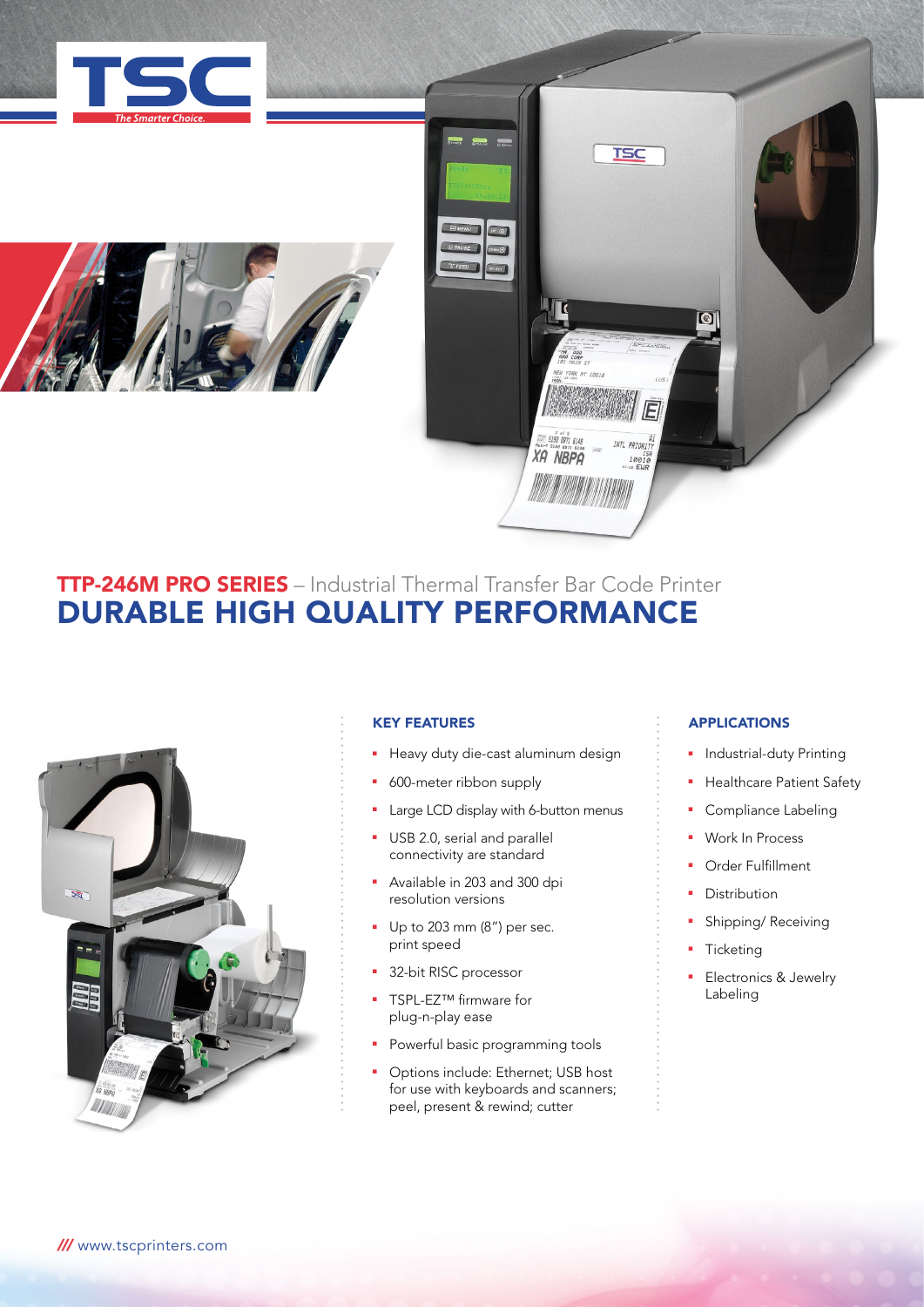





# TTP-246M PRO SERIES – Industrial Thermal Transfer Bar Code Printer DURABLE HIGH QUALITY PERFORMANCE



## KEY FEATURES

- **Heavy duty die-cast aluminum design**
- **600-meter ribbon supply**
- **Example 12 Large LCD display with 6-button menus**
- **USB 2.0, serial and parallel** connectivity are standard
- **Available in 203 and 300 dpi** resolution versions
- $\blacksquare$  Up to 203 mm (8") per sec. print speed
- **32-bit RISC processor**
- TSPL-EZ™ firmware for plug-n-play ease
- Powerful basic programming tools
- Options include: Ethernet; USB host for use with keyboards and scanners; peel, present & rewind; cutter

### APPLICATIONS

- **n** Industrial-duty Printing
- **Healthcare Patient Safety**
- **•** Compliance Labeling
- Work In Process
- <sup>n</sup> Order Fulfillment
- Distribution
- Shipping/ Receiving
- Ticketing
- Electronics & Jewelry Labeling